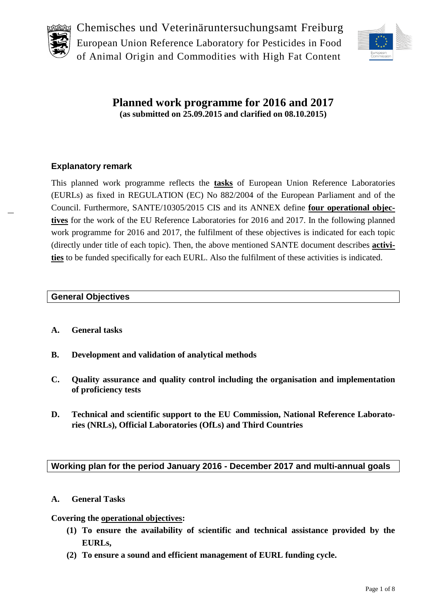



**Planned work programme for 2016 and 2017 (as submitted on 25.09.2015 and clarified on 08.10.2015)**

## **Explanatory remark**

This planned work programme reflects the **tasks** of European Union Reference Laboratories (EURLs) as fixed in REGULATION (EC) No 882/2004 of the European Parliament and of the Council. Furthermore, SANTE/10305/2015 CIS and its ANNEX define **four operational objectives** for the work of the EU Reference Laboratories for 2016 and 2017. In the following planned work programme for 2016 and 2017, the fulfilment of these objectives is indicated for each topic (directly under title of each topic). Then, the above mentioned SANTE document describes **activities** to be funded specifically for each EURL. Also the fulfilment of these activities is indicated.

#### **General Objectives**

- **A. General tasks**
- **B. Development and validation of analytical methods**
- **C. Quality assurance and quality control including the organisation and implementation of proficiency tests**
- **D. Technical and scientific support to the EU Commission, National Reference Laboratories (NRLs), Official Laboratories (OfLs) and Third Countries**

#### **Working plan for the period January 2016 - December 2017 and multi-annual goals**

#### **A. General Tasks**

#### **Covering the operational objectives:**

- **(1) To ensure the availability of scientific and technical assistance provided by the EURLs,**
- **(2) To ensure a sound and efficient management of EURL funding cycle.**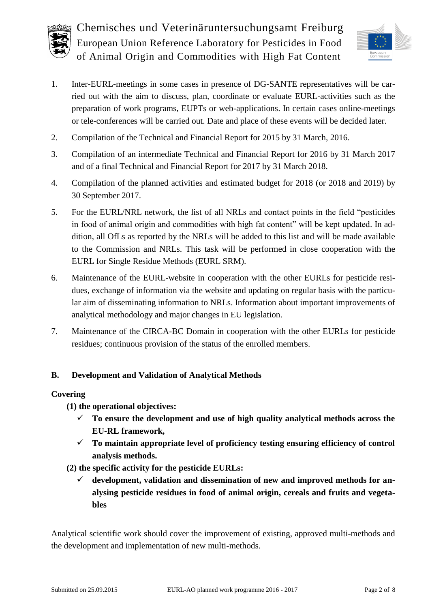



- 1. Inter-EURL-meetings in some cases in presence of DG-SANTE representatives will be carried out with the aim to discuss, plan, coordinate or evaluate EURL-activities such as the preparation of work programs, EUPTs or web-applications. In certain cases online-meetings or tele-conferences will be carried out. Date and place of these events will be decided later.
- 2. Compilation of the Technical and Financial Report for 2015 by 31 March, 2016.
- 3. Compilation of an intermediate Technical and Financial Report for 2016 by 31 March 2017 and of a final Technical and Financial Report for 2017 by 31 March 2018.
- 4. Compilation of the planned activities and estimated budget for 2018 (or 2018 and 2019) by 30 September 2017.
- 5. For the EURL/NRL network, the list of all NRLs and contact points in the field "pesticides in food of animal origin and commodities with high fat content" will be kept updated. In addition, all OfLs as reported by the NRLs will be added to this list and will be made available to the Commission and NRLs. This task will be performed in close cooperation with the EURL for Single Residue Methods (EURL SRM).
- 6. Maintenance of the EURL-website in cooperation with the other EURLs for pesticide residues, exchange of information via the website and updating on regular basis with the particular aim of disseminating information to NRLs. Information about important improvements of analytical methodology and major changes in EU legislation.
- 7. Maintenance of the CIRCA-BC Domain in cooperation with the other EURLs for pesticide residues; continuous provision of the status of the enrolled members.

## **B. Development and Validation of Analytical Methods**

#### **Covering**

**(1) the operational objectives:**

- **To ensure the development and use of high quality analytical methods across the EU-RL framework,**
- **To maintain appropriate level of proficiency testing ensuring efficiency of control analysis methods.**
- **(2) the specific activity for the pesticide EURLs:**
	- **development, validation and dissemination of new and improved methods for analysing pesticide residues in food of animal origin, cereals and fruits and vegetables**

Analytical scientific work should cover the improvement of existing, approved multi-methods and the development and implementation of new multi-methods.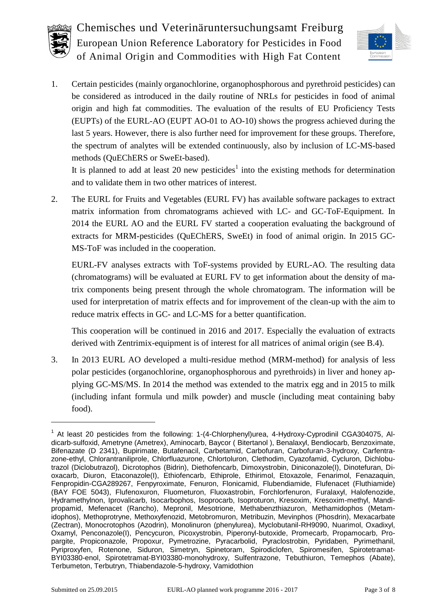



1. Certain pesticides (mainly organochlorine, organophosphorous and pyrethroid pesticides) can be considered as introduced in the daily routine of NRLs for pesticides in food of animal origin and high fat commodities. The evaluation of the results of EU Proficiency Tests (EUPTs) of the EURL-AO (EUPT AO-01 to AO-10) shows the progress achieved during the last 5 years. However, there is also further need for improvement for these groups. Therefore, the spectrum of analytes will be extended continuously, also by inclusion of LC-MS-based methods (QuEChERS or SweEt-based).

It is planned to add at least 20 new pesticides<sup>1</sup> into the existing methods for determination and to validate them in two other matrices of interest.

2. The EURL for Fruits and Vegetables (EURL FV) has available software packages to extract matrix information from chromatograms achieved with LC- and GC-ToF-Equipment. In 2014 the EURL AO and the EURL FV started a cooperation evaluating the background of extracts for MRM-pesticides (QuEChERS, SweEt) in food of animal origin. In 2015 GC-MS-ToF was included in the cooperation.

EURL-FV analyses extracts with ToF-systems provided by EURL-AO. The resulting data (chromatograms) will be evaluated at EURL FV to get information about the density of matrix components being present through the whole chromatogram. The information will be used for interpretation of matrix effects and for improvement of the clean-up with the aim to reduce matrix effects in GC- and LC-MS for a better quantification.

This cooperation will be continued in 2016 and 2017. Especially the evaluation of extracts derived with Zentrimix-equipment is of interest for all matrices of animal origin (see B[.4\)](#page-3-0).

3. In 2013 EURL AO developed a multi-residue method (MRM-method) for analysis of less polar pesticides (organochlorine, organophosphorous and pyrethroids) in liver and honey applying GC-MS/MS. In 2014 the method was extended to the matrix egg and in 2015 to milk (including infant formula und milk powder) and muscle (including meat containing baby food).

 $\overline{a}$ 

<sup>&</sup>lt;sup>1</sup> At least 20 pesticides from the following: 1-(4-Chlorphenyl)urea, 4-Hydroxy-Cyprodinil CGA304075, Aldicarb-sulfoxid, Ametryne (Ametrex), Aminocarb, Baycor ( Bitertanol ), Benalaxyl, Bendiocarb, Benzoximate, Bifenazate (D 2341), Bupirimate, Butafenacil, Carbetamid, Carbofuran, Carbofuran-3-hydroxy, Carfentrazone-ethyl, Chlorantraniliprole, Chlorfluazurone, Chlortoluron, Clethodim, Cyazofamid, Cycluron, Dichlobutrazol (Diclobutrazol), Dicrotophos (Bidrin), Diethofencarb, Dimoxystrobin, Diniconazole(I), Dinotefuran, Dioxacarb, Diuron, Etaconazole(I), Ethiofencarb, Ethiprole, Ethirimol, Etoxazole, Fenarimol, Fenazaquin, Fenpropidin-CGA289267, Fenpyroximate, Fenuron, Flonicamid, Flubendiamide, Flufenacet (Fluthiamide) (BAY FOE 5043), Flufenoxuron, Fluometuron, Fluoxastrobin, Forchlorfenuron, Furalaxyl, Halofenozide, Hydramethylnon, Iprovalicarb, Isocarbophos, Isoprocarb, Isoproturon, Kresoxim, Kresoxim-methyl, Mandipropamid, Mefenacet (Rancho), Mepronil, Mesotrione, Methabenzthiazuron, Methamidophos (Metamidophos), Methoprotryne, Methoxyfenozid, Metobromuron, Metribuzin, Mevinphos (Phosdrin), Mexacarbate (Zectran), Monocrotophos (Azodrin), Monolinuron (phenylurea), Myclobutanil-RH9090, Nuarimol, Oxadixyl, Oxamyl, Penconazole(I), Pencycuron, Picoxystrobin, Piperonyl-butoxide, Promecarb, Propamocarb, Propargite, Propiconazole, Propoxur, Pymetrozine, Pyracarbolid, Pyraclostrobin, Pyridaben, Pyrimethanil, Pyriproxyfen, Rotenone, Siduron, Simetryn, Spinetoram, Spirodiclofen, Spiromesifen, Spirotetramat-BYI03380-enol, Spirotetramat-BYI03380-monohydroxy, Sulfentrazone, Tebuthiuron, Temephos (Abate), Terbumeton, Terbutryn, Thiabendazole-5-hydroxy, Vamidothion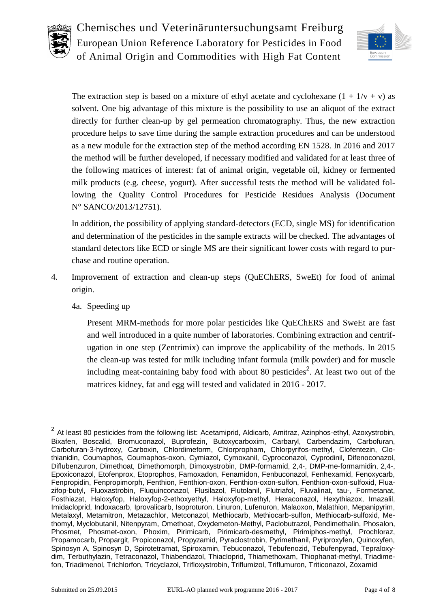



The extraction step is based on a mixture of ethyl acetate and cyclohexane  $(1 + 1/v + v)$  as solvent. One big advantage of this mixture is the possibility to use an aliquot of the extract directly for further clean-up by gel permeation chromatography. Thus, the new extraction procedure helps to save time during the sample extraction procedures and can be understood as a new module for the extraction step of the method according EN 1528. In 2016 and 2017 the method will be further developed, if necessary modified and validated for at least three of the following matrices of interest: fat of animal origin, vegetable oil, kidney or fermented milk products (e.g. cheese, yogurt). After successful tests the method will be validated following the Quality Control Procedures for Pesticide Residues Analysis (Document N° SANCO/2013/12751).

In addition, the possibility of applying standard-detectors (ECD, single MS) for identification and determination of the pesticides in the sample extracts will be checked. The advantages of standard detectors like ECD or single MS are their significant lower costs with regard to purchase and routine operation.

- <span id="page-3-0"></span>4. Improvement of extraction and clean-up steps (QuEChERS, SweEt) for food of animal origin.
	- 4a. Speeding up

Present MRM-methods for more polar pesticides like QuEChERS and SweEt are fast and well introduced in a quite number of laboratories. Combining extraction and centrifugation in one step (Zentrimix) can improve the applicability of the methods. In 2015 the clean-up was tested for milk including infant formula (milk powder) and for muscle including meat-containing baby food with about 80 pesticides<sup>2</sup>. At least two out of the matrices kidney, fat and egg will tested and validated in 2016 - 2017.

 $\overline{a}$ 

 $^2$  At least 80 pesticides from the following list: Acetamiprid, Aldicarb, Amitraz, Azinphos-ethyl, Azoxystrobin, Bixafen, Boscalid, Bromuconazol, Buprofezin, Butoxycarboxim, Carbaryl, Carbendazim, Carbofuran, Carbofuran-3-hydroxy, Carboxin, Chlordimeform, Chlorpropham, Chlorpyrifos-methyl, Clofentezin, Clothianidin, Coumaphos, Coumaphos-oxon, Cymiazol, Cymoxanil, Cyproconazol, Cyprodinil, Difenoconazol, Diflubenzuron, Dimethoat, Dimethomorph, Dimoxystrobin, DMP-formamid, 2,4-, DMP-me-formamidin, 2,4-, Epoxiconazol, Etofenprox, Etoprophos, Famoxadon, Fenamidon, Fenbuconazol, Fenhexamid, Fenoxycarb, Fenpropidin, Fenpropimorph, Fenthion, Fenthion-oxon, Fenthion-oxon-sulfon, Fenthion-oxon-sulfoxid, Fluazifop-butyl, Fluoxastrobin, Fluquinconazol, Flusilazol, Flutolanil, Flutriafol, Fluvalinat, tau-, Formetanat, Fosthiazat, Haloxyfop, Haloxyfop-2-ethoxyethyl, Haloxyfop-methyl, Hexaconazol, Hexythiazox, Imazalil, Imidacloprid, Indoxacarb, Iprovalicarb, Isoproturon, Linuron, Lufenuron, Malaoxon, Malathion, Mepanipyrim, Metalaxyl, Metamitron, Metazachlor, Metconazol, Methiocarb, Methiocarb-sulfon, Methiocarb-sulfoxid, Methomyl, Myclobutanil, Nitenpyram, Omethoat, Oxydemeton-Methyl, Paclobutrazol, Pendimethalin, Phosalon, Phosmet, Phosmet-oxon, Phoxim, Pirimicarb, Pirimicarb-desmethyl, Pirimiphos-methyl, Prochloraz, Propamocarb, Propargit, Propiconazol, Propyzamid, Pyraclostrobin, Pyrimethanil, Pyriproxyfen, Quinoxyfen, Spinosyn A, Spinosyn D, Spirotetramat, Spiroxamin, Tebuconazol, Tebufenozid, Tebufenpyrad, Tepraloxydim, Terbuthylazin, Tetraconazol, Thiabendazol, Thiacloprid, Thiamethoxam, Thiophanat-methyl, Triadimefon, Triadimenol, Trichlorfon, Tricyclazol, Trifloxystrobin, Triflumizol, Triflumuron, Triticonazol, Zoxamid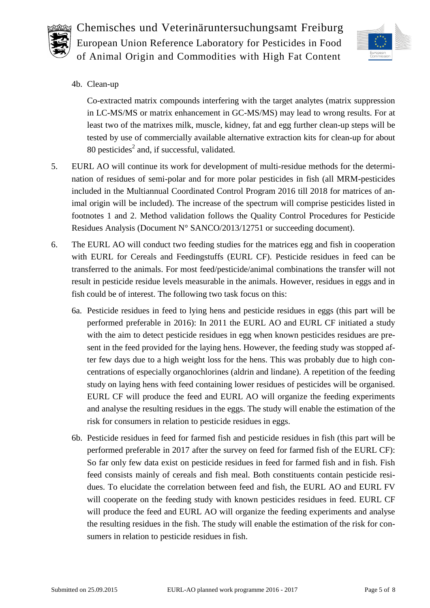



4b. Clean-up

Co-extracted matrix compounds interfering with the target analytes (matrix suppression in LC-MS/MS or matrix enhancement in GC-MS/MS) may lead to wrong results. For at least two of the matrixes milk, muscle, kidney, fat and egg further clean-up steps will be tested by use of commercially available alternative extraction kits for clean-up for about 80 pesticides<sup>2</sup> and, if successful, validated.

- 5. EURL AO will continue its work for development of multi-residue methods for the determination of residues of semi-polar and for more polar pesticides in fish (all MRM-pesticides included in the Multiannual Coordinated Control Program 2016 till 2018 for matrices of animal origin will be included). The increase of the spectrum will comprise pesticides listed in footnotes 1 and 2. Method validation follows the Quality Control Procedures for Pesticide Residues Analysis (Document N° SANCO/2013/12751 or succeeding document).
- 6. The EURL AO will conduct two feeding studies for the matrices egg and fish in cooperation with EURL for Cereals and Feedingstuffs (EURL CF). Pesticide residues in feed can be transferred to the animals. For most feed/pesticide/animal combinations the transfer will not result in pesticide residue levels measurable in the animals. However, residues in eggs and in fish could be of interest. The following two task focus on this:
	- 6a. Pesticide residues in feed to lying hens and pesticide residues in eggs (this part will be performed preferable in 2016): In 2011 the EURL AO and EURL CF initiated a study with the aim to detect pesticide residues in egg when known pesticides residues are present in the feed provided for the laying hens. However, the feeding study was stopped after few days due to a high weight loss for the hens. This was probably due to high concentrations of especially organochlorines (aldrin and lindane). A repetition of the feeding study on laying hens with feed containing lower residues of pesticides will be organised. EURL CF will produce the feed and EURL AO will organize the feeding experiments and analyse the resulting residues in the eggs. The study will enable the estimation of the risk for consumers in relation to pesticide residues in eggs.
	- 6b. Pesticide residues in feed for farmed fish and pesticide residues in fish (this part will be performed preferable in 2017 after the survey on feed for farmed fish of the EURL CF): So far only few data exist on pesticide residues in feed for farmed fish and in fish. Fish feed consists mainly of cereals and fish meal. Both constituents contain pesticide residues. To elucidate the correlation between feed and fish, the EURL AO and EURL FV will cooperate on the feeding study with known pesticides residues in feed. EURL CF will produce the feed and EURL AO will organize the feeding experiments and analyse the resulting residues in the fish. The study will enable the estimation of the risk for consumers in relation to pesticide residues in fish.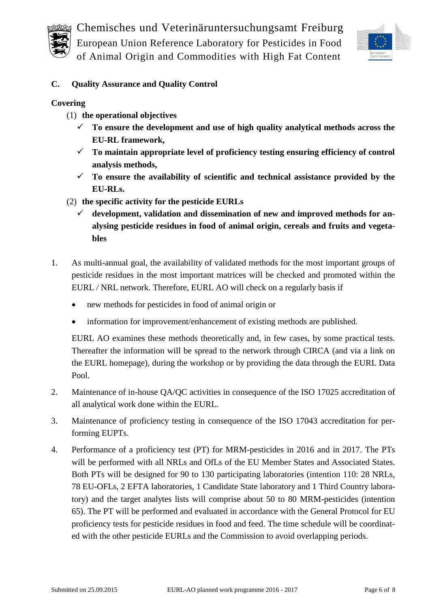

Chemisches und Veterinäruntersuchungsamt Freiburg

European Union Reference Laboratory for Pesticides in Food

of Animal Origin and Commodities with High Fat Content



## **C. Quality Assurance and Quality Control**

### **Covering**

- (1) **the operational objectives**
	- **To ensure the development and use of high quality analytical methods across the EU-RL framework,**
	- **To maintain appropriate level of proficiency testing ensuring efficiency of control analysis methods,**
	- $\checkmark$  To ensure the availability of scientific and technical assistance provided by the **EU-RLs.**
- (2) **the specific activity for the pesticide EURLs**
	- **development, validation and dissemination of new and improved methods for analysing pesticide residues in food of animal origin, cereals and fruits and vegetables**
- 1. As multi-annual goal, the availability of validated methods for the most important groups of pesticide residues in the most important matrices will be checked and promoted within the EURL / NRL network. Therefore, EURL AO will check on a regularly basis if
	- new methods for pesticides in food of animal origin or
	- information for improvement/enhancement of existing methods are published.

EURL AO examines these methods theoretically and, in few cases, by some practical tests. Thereafter the information will be spread to the network through CIRCA (and via a link on the EURL homepage), during the workshop or by providing the data through the EURL Data Pool.

- 2. Maintenance of in-house QA/QC activities in consequence of the ISO 17025 accreditation of all analytical work done within the EURL.
- 3. Maintenance of proficiency testing in consequence of the ISO 17043 accreditation for performing EUPTs.
- <span id="page-5-0"></span>4. Performance of a proficiency test (PT) for MRM-pesticides in 2016 and in 2017. The PTs will be performed with all NRLs and OfLs of the EU Member States and Associated States. Both PTs will be designed for 90 to 130 participating laboratories (intention 110: 28 NRLs, 78 EU-OFLs, 2 EFTA laboratories, 1 Candidate State laboratory and 1 Third Country laboratory) and the target analytes lists will comprise about 50 to 80 MRM-pesticides (intention 65). The PT will be performed and evaluated in accordance with the General Protocol for EU proficiency tests for pesticide residues in food and feed. The time schedule will be coordinated with the other pesticide EURLs and the Commission to avoid overlapping periods.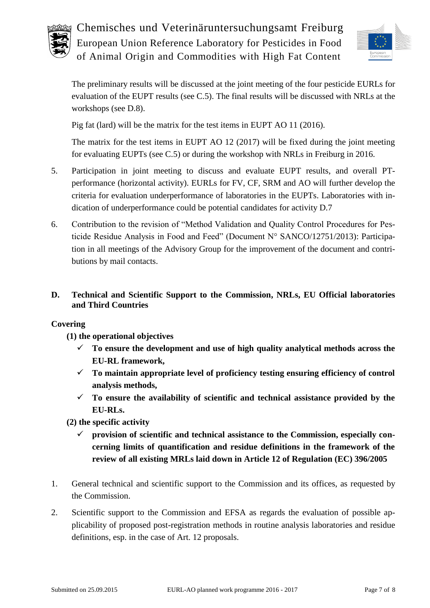



The preliminary results will be discussed at the joint meeting of the four pesticide EURLs for evaluation of the EUPT results (see C[.5\)](#page-6-0). The final results will be discussed with NRLs at the workshops (see D[.8\)](#page-7-0).

Pig fat (lard) will be the matrix for the test items in EUPT AO 11 (2016).

The matrix for the test items in EUPT AO 12 (2017) will be fixed during the joint meeting for evaluating EUPTs (see C[.5\)](#page-6-0) or during the workshop with NRLs in Freiburg in 2016.

- <span id="page-6-0"></span>5. Participation in joint meeting to discuss and evaluate EUPT results, and overall PTperformance (horizontal activity). EURLs for FV, CF, SRM and AO will further develop the criteria for evaluation underperformance of laboratories in the EUPTs. Laboratories with indication of underperformance could be potential candidates for activity D.7
- 6. Contribution to the revision of "Method Validation and Quality Control Procedures for Pesticide Residue Analysis in Food and Feed" (Document N° SANCO/12751/2013): Participation in all meetings of the Advisory Group for the improvement of the document and contributions by mail contacts.

## **D. Technical and Scientific Support to the Commission, NRLs, EU Official laboratories and Third Countries**

#### **Covering**

- **(1) the operational objectives**
	- **To ensure the development and use of high quality analytical methods across the EU-RL framework,**
	- **To maintain appropriate level of proficiency testing ensuring efficiency of control analysis methods,**
	- $\checkmark$  To ensure the availability of scientific and technical assistance provided by the **EU-RLs.**

**(2) the specific activity** 

- **provision of scientific and technical assistance to the Commission, especially concerning limits of quantification and residue definitions in the framework of the review of all existing MRLs laid down in Article 12 of Regulation (EC) 396/2005**
- 1. General technical and scientific support to the Commission and its offices, as requested by the Commission.
- 2. Scientific support to the Commission and EFSA as regards the evaluation of possible applicability of proposed post-registration methods in routine analysis laboratories and residue definitions, esp. in the case of Art. 12 proposals.